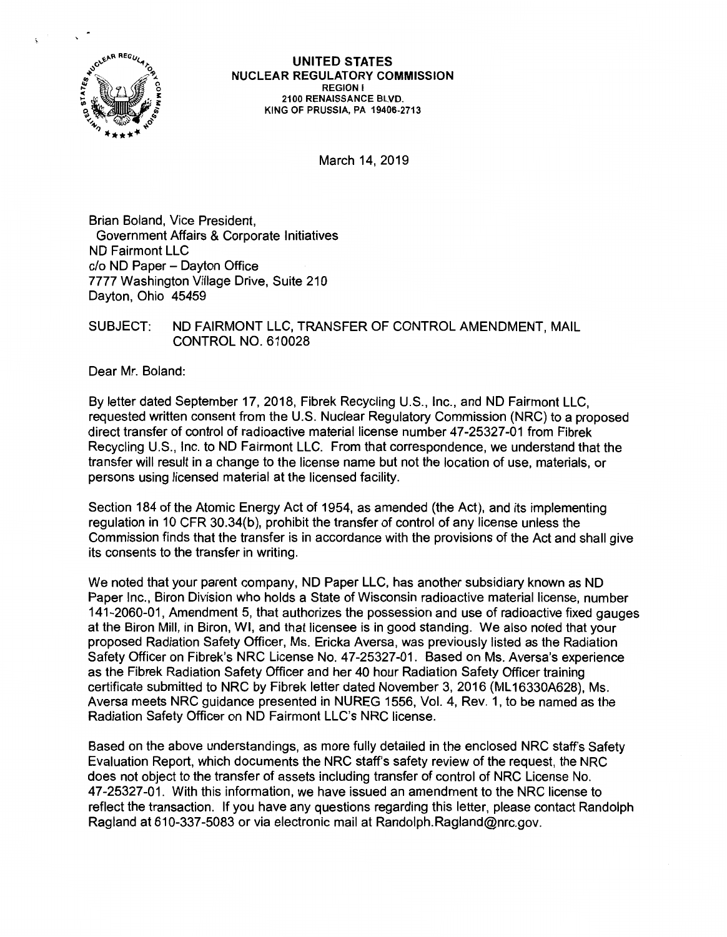

March 14, 2019

Brian Boland, Vice President, Government Affairs & Corporate Initiatives ND Fairmont LLC c/o ND Paper - Dayton Office 7777 Washington Village Drive, Suite 210 Dayton, Ohio 45459

## SUBJECT: ND FAIRMONT LLC, TRANSFER OF CONTROL AMENDMENT, MAIL CONTROL NO. 610028

Dear Mr. Boland:

By letter dated September 17, 2018, Fibrek Recycling U.S., Inc., and ND Fairmont LLC, requested written consent from the U.S. Nuclear Regulatory Commission (NRC) to a proposed direct transfer of control of radioactive material license number 47-25327-01 from Fibrek Recycling U.S., Inc. to ND Fairmont LLC. From that correspondence, we understand that the transfer will result in a change to the license name but not the location of use, materials, or persons using licensed material at the licensed facility.

Section 184 of the Atomic Energy Act of 1954, as amended (the Act), and its implementing regulation in 10 CFR 30.34(b), prohibit the transfer of control of any license unless the Commission finds that the transfer is in accordance with the provisions of the Act and shall give its consents to the transfer in writing.

We noted that your parent company, ND Paper LLC, has another subsidiary known as ND Paper Inc., Biron Division who holds a State of Wisconsin radioactive material license, number 141-2060-01, Amendment 5, that authorizes the possession and use of radioactive fixed gauges at the Biron Mill, in Biron, WI, and that licensee is in good standing. We also noted that your proposed Radiation Safety Officer, Ms. Ericka Aversa, was previously listed as the Radiation Safety Officer on Fibrek's NRC License No. 47-25327-01. Based on Ms. Aversa's experience as the Fibrek Radiation Safety Officer and her 40 hour Radiation Safety Officer training certificate submitted to NRC by Fibrek letter dated November 3, 2016 (ML16330A628), Ms. Aversa meets NRC guidance presented in NUREG 1556, Vol. 4, Rev. 1, to be named as the Radiation Safety Officer on ND Fairmont LLC's NRC license.

Based on the above understandings, as more fully detailed in the enclosed NRC staff's Safety Evaluation Report, which documents the NRC staff's safety review of the request, the NRC does not object to the transfer of assets including transfer of control of NRC License No. 47-25327-01. With this information, we have issued an amendment to the NRC license to reflect the transaction. If you have any questions regarding this letter, please contact Randolph Ragland at 610-337-5083 or via electronic mail at Randolph.Ragland@nrc.gov.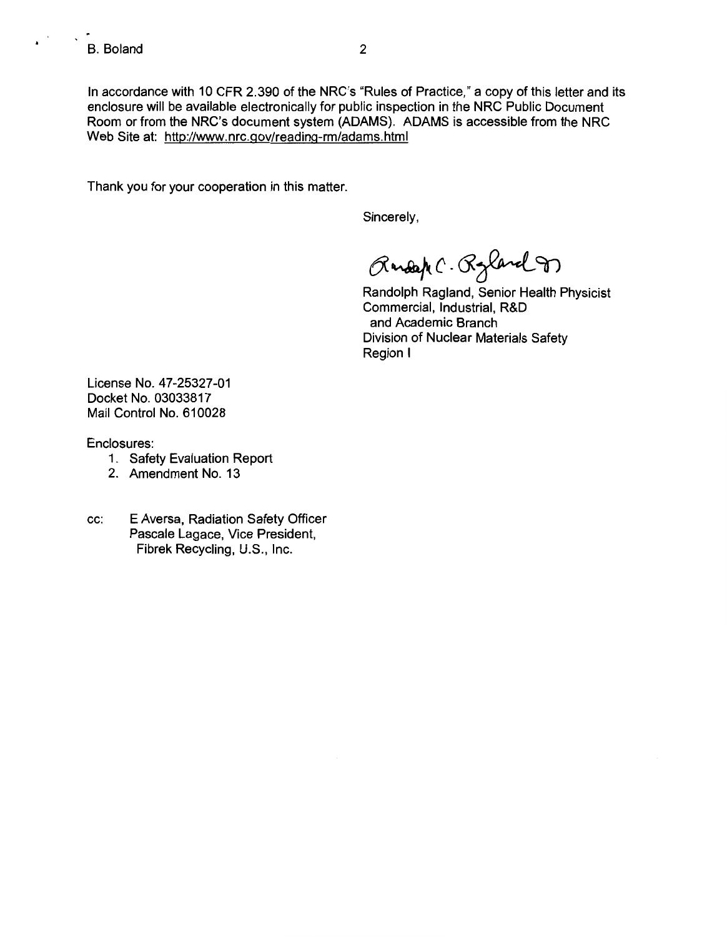$\mathbf{v}^{(1)}$ 

In accordance with 10 CFR 2.390 of the NRC's "Rules of Practice," a copy of this letter and its enclosure will be available electronically for public inspection in the NRC Public Document Room or from the NRC's document system (ADAMS). ADAMS is accessible from the NRC Web Site at: http://www.nrc.gov/reading-rm/adams.html

Thank you for your cooperation in this matter.

Sincerely,

 $\beta$ andap (. Ryland 9)

Randolph Ragland, Senior Health Physicist Commercial, Industrial, R&D and Academic Branch Division of Nuclear Materials Safety Region I

License No. 47-25327-01 Docket No. 03033817 Mail Control No. 610028

Enclosures:

- 1. Safety Evaluation Report
- 2. Amendment No. 13
- cc: E Aversa, Radiation Safety Officer Pascale Lagace, Vice President, Fibrek Recycling, U.S., Inc.